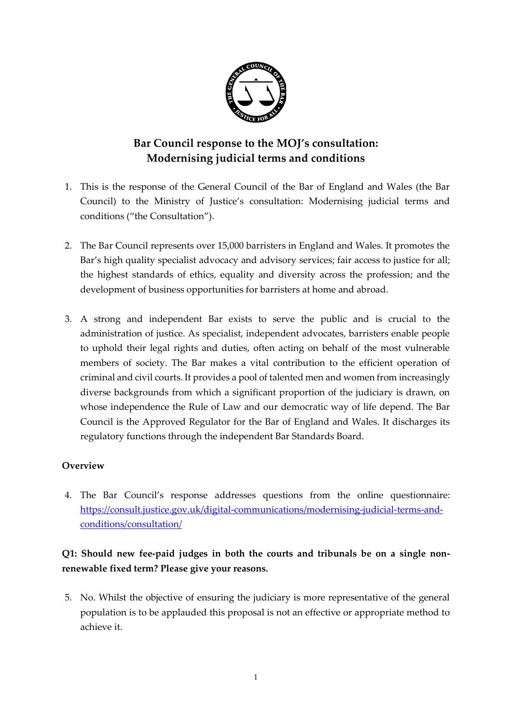

# **Bar Council response to the MOJ's consultation: Modernising judicial terms and conditions**

- 1. This is the response of the General Council of the Bar of England and Wales (the Bar Council) to the Ministry of Justice's consultation: Modernising judicial terms and conditions ("the Consultation").
- 2. The Bar Council represents over 15,000 barristers in England and Wales. It promotes the Bar's high quality specialist advocacy and advisory services; fair access to justice for all; the highest standards of ethics, equality and diversity across the profession; and the development of business opportunities for barristers at home and abroad.
- 3. A strong and independent Bar exists to serve the public and is crucial to the administration of justice. As specialist, independent advocates, barristers enable people to uphold their legal rights and duties, often acting on behalf of the most vulnerable members of society. The Bar makes a vital contribution to the efficient operation of criminal and civil courts. It provides a pool of talented men and women from increasingly diverse backgrounds from which a significant proportion of the judiciary is drawn, on whose independence the Rule of Law and our democratic way of life depend. The Bar Council is the Approved Regulator for the Bar of England and Wales. It discharges its regulatory functions through the independent Bar Standards Board.

#### **Overview**

4. The Bar Council's response addresses questions from the online questionnaire: [https://consult.justice.gov.uk/digital-communications/modernising-judicial-terms-and](https://consult.justice.gov.uk/digital-communications/modernising-judicial-terms-and-conditions/consultation/)[conditions/consultation/](https://consult.justice.gov.uk/digital-communications/modernising-judicial-terms-and-conditions/consultation/)

## **Q1: Should new fee-paid judges in both the courts and tribunals be on a single nonrenewable fixed term? Please give your reasons.**

5. No. Whilst the objective of ensuring the judiciary is more representative of the general population is to be applauded this proposal is not an effective or appropriate method to achieve it.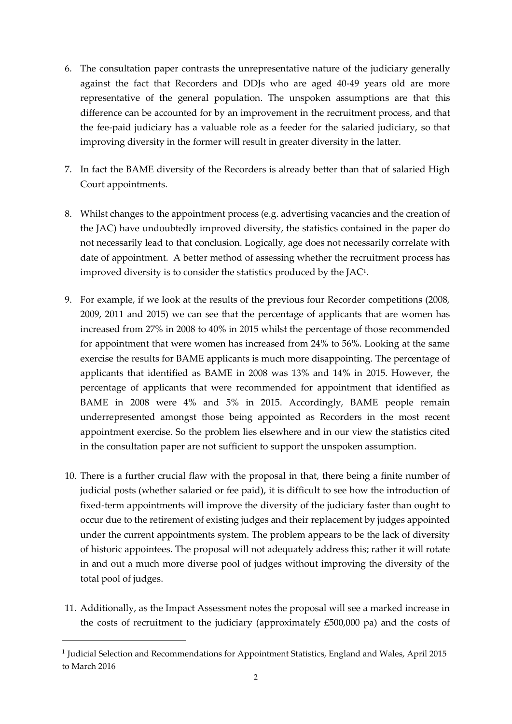- 6. The consultation paper contrasts the unrepresentative nature of the judiciary generally against the fact that Recorders and DDJs who are aged 40-49 years old are more representative of the general population. The unspoken assumptions are that this difference can be accounted for by an improvement in the recruitment process, and that the fee-paid judiciary has a valuable role as a feeder for the salaried judiciary, so that improving diversity in the former will result in greater diversity in the latter.
- 7. In fact the BAME diversity of the Recorders is already better than that of salaried High Court appointments.
- 8. Whilst changes to the appointment process (e.g. advertising vacancies and the creation of the JAC) have undoubtedly improved diversity, the statistics contained in the paper do not necessarily lead to that conclusion. Logically, age does not necessarily correlate with date of appointment. A better method of assessing whether the recruitment process has improved diversity is to consider the statistics produced by the JAC<sup>1</sup> .
- 9. For example, if we look at the results of the previous four Recorder competitions (2008, 2009, 2011 and 2015) we can see that the percentage of applicants that are women has increased from 27% in 2008 to 40% in 2015 whilst the percentage of those recommended for appointment that were women has increased from 24% to 56%. Looking at the same exercise the results for BAME applicants is much more disappointing. The percentage of applicants that identified as BAME in 2008 was 13% and 14% in 2015. However, the percentage of applicants that were recommended for appointment that identified as BAME in 2008 were 4% and 5% in 2015. Accordingly, BAME people remain underrepresented amongst those being appointed as Recorders in the most recent appointment exercise. So the problem lies elsewhere and in our view the statistics cited in the consultation paper are not sufficient to support the unspoken assumption.
- 10. There is a further crucial flaw with the proposal in that, there being a finite number of judicial posts (whether salaried or fee paid), it is difficult to see how the introduction of fixed-term appointments will improve the diversity of the judiciary faster than ought to occur due to the retirement of existing judges and their replacement by judges appointed under the current appointments system. The problem appears to be the lack of diversity of historic appointees. The proposal will not adequately address this; rather it will rotate in and out a much more diverse pool of judges without improving the diversity of the total pool of judges.
- 11. Additionally, as the Impact Assessment notes the proposal will see a marked increase in the costs of recruitment to the judiciary (approximately £500,000 pa) and the costs of

-

<sup>&</sup>lt;sup>1</sup> Judicial Selection and Recommendations for Appointment Statistics, England and Wales, April 2015 to March 2016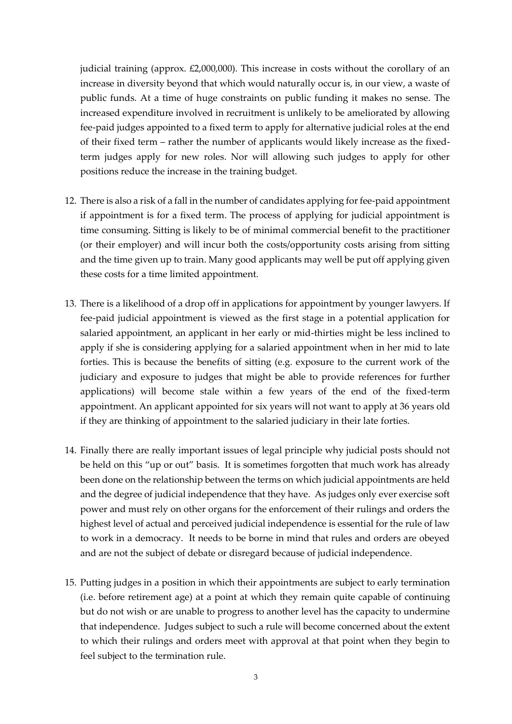judicial training (approx. £2,000,000). This increase in costs without the corollary of an increase in diversity beyond that which would naturally occur is, in our view, a waste of public funds. At a time of huge constraints on public funding it makes no sense. The increased expenditure involved in recruitment is unlikely to be ameliorated by allowing fee-paid judges appointed to a fixed term to apply for alternative judicial roles at the end of their fixed term – rather the number of applicants would likely increase as the fixedterm judges apply for new roles. Nor will allowing such judges to apply for other positions reduce the increase in the training budget.

- 12. There is also a risk of a fall in the number of candidates applying for fee-paid appointment if appointment is for a fixed term. The process of applying for judicial appointment is time consuming. Sitting is likely to be of minimal commercial benefit to the practitioner (or their employer) and will incur both the costs/opportunity costs arising from sitting and the time given up to train. Many good applicants may well be put off applying given these costs for a time limited appointment.
- 13. There is a likelihood of a drop off in applications for appointment by younger lawyers. If fee-paid judicial appointment is viewed as the first stage in a potential application for salaried appointment, an applicant in her early or mid-thirties might be less inclined to apply if she is considering applying for a salaried appointment when in her mid to late forties. This is because the benefits of sitting (e.g. exposure to the current work of the judiciary and exposure to judges that might be able to provide references for further applications) will become stale within a few years of the end of the fixed-term appointment. An applicant appointed for six years will not want to apply at 36 years old if they are thinking of appointment to the salaried judiciary in their late forties.
- 14. Finally there are really important issues of legal principle why judicial posts should not be held on this "up or out" basis. It is sometimes forgotten that much work has already been done on the relationship between the terms on which judicial appointments are held and the degree of judicial independence that they have. As judges only ever exercise soft power and must rely on other organs for the enforcement of their rulings and orders the highest level of actual and perceived judicial independence is essential for the rule of law to work in a democracy. It needs to be borne in mind that rules and orders are obeyed and are not the subject of debate or disregard because of judicial independence.
- 15. Putting judges in a position in which their appointments are subject to early termination (i.e. before retirement age) at a point at which they remain quite capable of continuing but do not wish or are unable to progress to another level has the capacity to undermine that independence. Judges subject to such a rule will become concerned about the extent to which their rulings and orders meet with approval at that point when they begin to feel subject to the termination rule.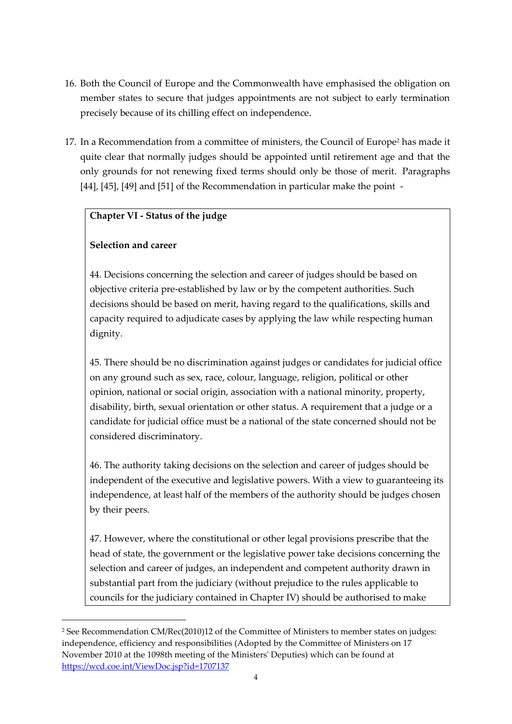- 16. Both the Council of Europe and the Commonwealth have emphasised the obligation on member states to secure that judges appointments are not subject to early termination precisely because of its chilling effect on independence.
- 17. In a Recommendation from a committee of ministers, the Council of Europe<sup>2</sup> has made it quite clear that normally judges should be appointed until retirement age and that the only grounds for not renewing fixed terms should only be those of merit. Paragraphs [44], [45], [49] and [51] of the Recommendation in particular make the point -

#### **Chapter VI - Status of the judge**

### **Selection and career**

-

44. Decisions concerning the selection and career of judges should be based on objective criteria pre-established by law or by the competent authorities. Such decisions should be based on merit, having regard to the qualifications, skills and capacity required to adjudicate cases by applying the law while respecting human dignity.

45. There should be no discrimination against judges or candidates for judicial office on any ground such as sex, race, colour, language, religion, political or other opinion, national or social origin, association with a national minority, property, disability, birth, sexual orientation or other status. A requirement that a judge or a candidate for judicial office must be a national of the state concerned should not be considered discriminatory.

46. The authority taking decisions on the selection and career of judges should be independent of the executive and legislative powers. With a view to guaranteeing its independence, at least half of the members of the authority should be judges chosen by their peers.

47. However, where the constitutional or other legal provisions prescribe that the head of state, the government or the legislative power take decisions concerning the selection and career of judges, an independent and competent authority drawn in substantial part from the judiciary (without prejudice to the rules applicable to councils for the judiciary contained in Chapter IV) should be authorised to make

<sup>2</sup> See Recommendation CM/Rec(2010)12 of the Committee of Ministers to member states on judges: independence, efficiency and responsibilities (Adopted by the Committee of Ministers on 17 November 2010 at the 1098th meeting of the Ministers' Deputies) which can be found at <https://wcd.coe.int/ViewDoc.jsp?id=1707137>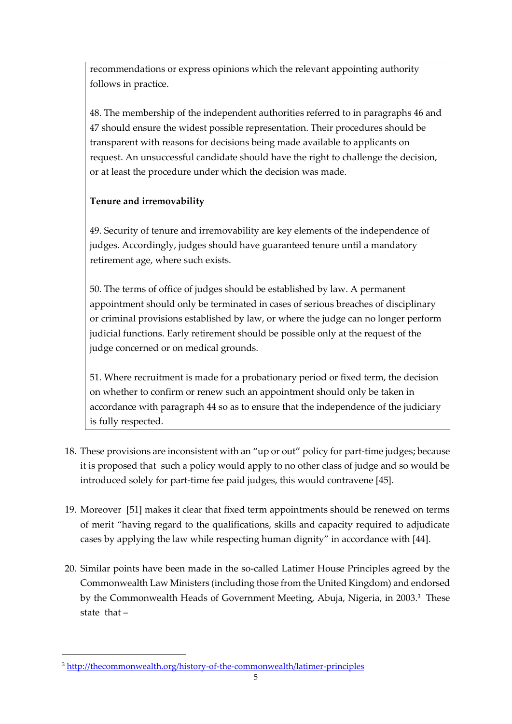recommendations or express opinions which the relevant appointing authority follows in practice.

48. The membership of the independent authorities referred to in paragraphs 46 and 47 should ensure the widest possible representation. Their procedures should be transparent with reasons for decisions being made available to applicants on request. An unsuccessful candidate should have the right to challenge the decision, or at least the procedure under which the decision was made.

## **Tenure and irremovability**

49. Security of tenure and irremovability are key elements of the independence of judges. Accordingly, judges should have guaranteed tenure until a mandatory retirement age, where such exists.

50. The terms of office of judges should be established by law. A permanent appointment should only be terminated in cases of serious breaches of disciplinary or criminal provisions established by law, or where the judge can no longer perform judicial functions. Early retirement should be possible only at the request of the judge concerned or on medical grounds.

51. Where recruitment is made for a probationary period or fixed term, the decision on whether to confirm or renew such an appointment should only be taken in accordance with paragraph 44 so as to ensure that the independence of the judiciary is fully respected.

- 18. These provisions are inconsistent with an "up or out" policy for part-time judges; because it is proposed that such a policy would apply to no other class of judge and so would be introduced solely for part-time fee paid judges, this would contravene [45].
- 19. Moreover [51] makes it clear that fixed term appointments should be renewed on terms of merit "having regard to the qualifications, skills and capacity required to adjudicate cases by applying the law while respecting human dignity" in accordance with [44].
- 20. Similar points have been made in the so-called Latimer House Principles agreed by the Commonwealth Law Ministers (including those from the United Kingdom) and endorsed by the Commonwealth Heads of Government Meeting, Abuja, Nigeria, in 2003.<sup>3</sup> These state that –

-

<sup>3</sup> <http://thecommonwealth.org/history-of-the-commonwealth/latimer-principles>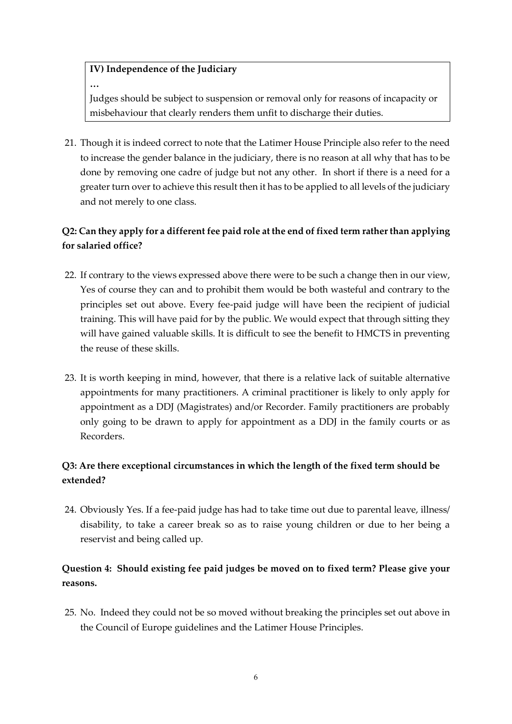### **IV) Independence of the Judiciary**

**…**

Judges should be subject to suspension or removal only for reasons of incapacity or misbehaviour that clearly renders them unfit to discharge their duties.

21. Though it is indeed correct to note that the Latimer House Principle also refer to the need to increase the gender balance in the judiciary, there is no reason at all why that has to be done by removing one cadre of judge but not any other. In short if there is a need for a greater turn over to achieve this result then it has to be applied to all levels of the judiciary and not merely to one class.

## **Q2: Can they apply for a different fee paid role at the end of fixed term rather than applying for salaried office?**

- 22. If contrary to the views expressed above there were to be such a change then in our view, Yes of course they can and to prohibit them would be both wasteful and contrary to the principles set out above. Every fee-paid judge will have been the recipient of judicial training. This will have paid for by the public. We would expect that through sitting they will have gained valuable skills. It is difficult to see the benefit to HMCTS in preventing the reuse of these skills.
- 23. It is worth keeping in mind, however, that there is a relative lack of suitable alternative appointments for many practitioners. A criminal practitioner is likely to only apply for appointment as a DDJ (Magistrates) and/or Recorder. Family practitioners are probably only going to be drawn to apply for appointment as a DDJ in the family courts or as Recorders.

## **Q3: Are there exceptional circumstances in which the length of the fixed term should be extended?**

24. Obviously Yes. If a fee-paid judge has had to take time out due to parental leave, illness/ disability, to take a career break so as to raise young children or due to her being a reservist and being called up.

## **Question 4: Should existing fee paid judges be moved on to fixed term? Please give your reasons.**

25. No. Indeed they could not be so moved without breaking the principles set out above in the Council of Europe guidelines and the Latimer House Principles.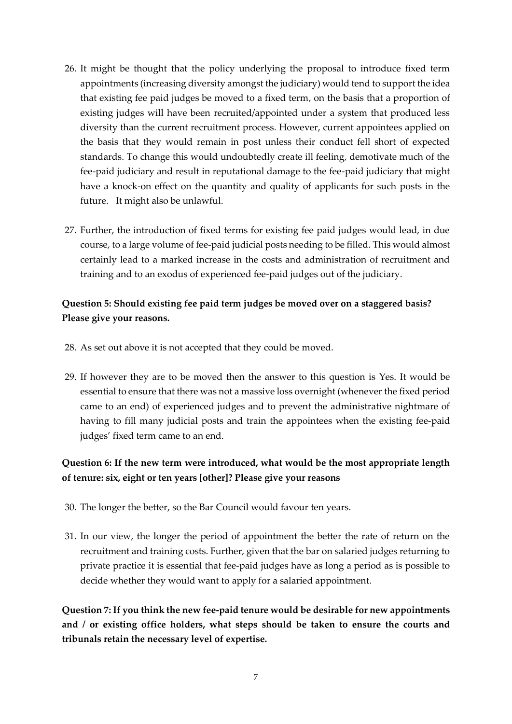- 26. It might be thought that the policy underlying the proposal to introduce fixed term appointments (increasing diversity amongst the judiciary) would tend to support the idea that existing fee paid judges be moved to a fixed term, on the basis that a proportion of existing judges will have been recruited/appointed under a system that produced less diversity than the current recruitment process. However, current appointees applied on the basis that they would remain in post unless their conduct fell short of expected standards. To change this would undoubtedly create ill feeling, demotivate much of the fee-paid judiciary and result in reputational damage to the fee-paid judiciary that might have a knock-on effect on the quantity and quality of applicants for such posts in the future. It might also be unlawful.
- 27. Further, the introduction of fixed terms for existing fee paid judges would lead, in due course, to a large volume of fee-paid judicial posts needing to be filled. This would almost certainly lead to a marked increase in the costs and administration of recruitment and training and to an exodus of experienced fee-paid judges out of the judiciary.

### **Question 5: Should existing fee paid term judges be moved over on a staggered basis? Please give your reasons.**

- 28. As set out above it is not accepted that they could be moved.
- 29. If however they are to be moved then the answer to this question is Yes. It would be essential to ensure that there was not a massive loss overnight (whenever the fixed period came to an end) of experienced judges and to prevent the administrative nightmare of having to fill many judicial posts and train the appointees when the existing fee-paid judges' fixed term came to an end.

## **Question 6: If the new term were introduced, what would be the most appropriate length of tenure: six, eight or ten years [other]? Please give your reasons**

- 30. The longer the better, so the Bar Council would favour ten years.
- 31. In our view, the longer the period of appointment the better the rate of return on the recruitment and training costs. Further, given that the bar on salaried judges returning to private practice it is essential that fee-paid judges have as long a period as is possible to decide whether they would want to apply for a salaried appointment.

**Question 7: If you think the new fee-paid tenure would be desirable for new appointments and / or existing office holders, what steps should be taken to ensure the courts and tribunals retain the necessary level of expertise.**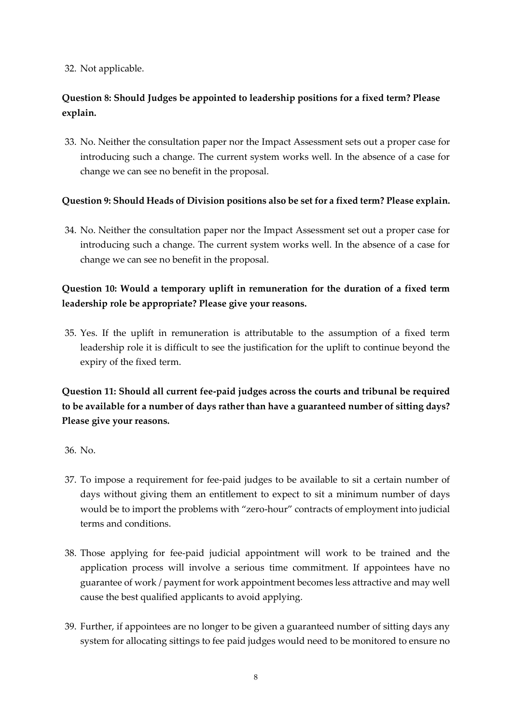#### 32. Not applicable.

### **Question 8: Should Judges be appointed to leadership positions for a fixed term? Please explain.**

33. No. Neither the consultation paper nor the Impact Assessment sets out a proper case for introducing such a change. The current system works well. In the absence of a case for change we can see no benefit in the proposal.

#### **Question 9: Should Heads of Division positions also be set for a fixed term? Please explain.**

34. No. Neither the consultation paper nor the Impact Assessment set out a proper case for introducing such a change. The current system works well. In the absence of a case for change we can see no benefit in the proposal.

### **Question 10: Would a temporary uplift in remuneration for the duration of a fixed term leadership role be appropriate? Please give your reasons.**

35. Yes. If the uplift in remuneration is attributable to the assumption of a fixed term leadership role it is difficult to see the justification for the uplift to continue beyond the expiry of the fixed term.

## **Question 11: Should all current fee-paid judges across the courts and tribunal be required to be available for a number of days rather than have a guaranteed number of sitting days? Please give your reasons.**

#### 36. No.

- 37. To impose a requirement for fee-paid judges to be available to sit a certain number of days without giving them an entitlement to expect to sit a minimum number of days would be to import the problems with "zero-hour" contracts of employment into judicial terms and conditions.
- 38. Those applying for fee-paid judicial appointment will work to be trained and the application process will involve a serious time commitment. If appointees have no guarantee of work / payment for work appointment becomes less attractive and may well cause the best qualified applicants to avoid applying.
- 39. Further, if appointees are no longer to be given a guaranteed number of sitting days any system for allocating sittings to fee paid judges would need to be monitored to ensure no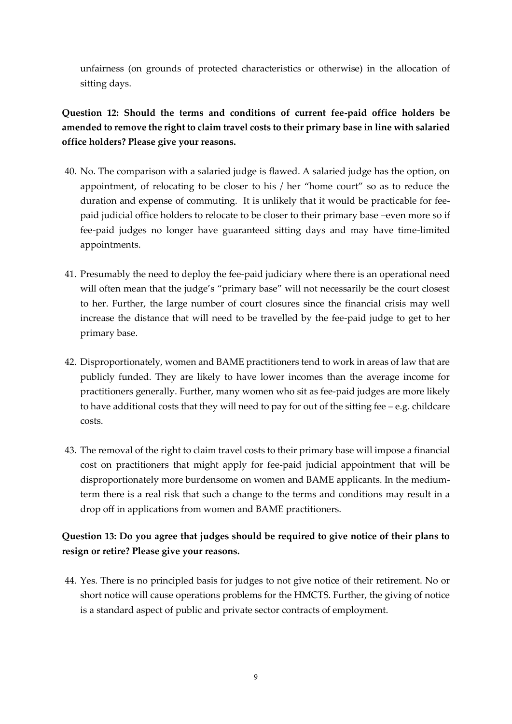unfairness (on grounds of protected characteristics or otherwise) in the allocation of sitting days.

**Question 12: Should the terms and conditions of current fee-paid office holders be amended to remove the right to claim travel costs to their primary base in line with salaried office holders? Please give your reasons.**

- 40. No. The comparison with a salaried judge is flawed. A salaried judge has the option, on appointment, of relocating to be closer to his / her "home court" so as to reduce the duration and expense of commuting. It is unlikely that it would be practicable for feepaid judicial office holders to relocate to be closer to their primary base –even more so if fee-paid judges no longer have guaranteed sitting days and may have time-limited appointments.
- 41. Presumably the need to deploy the fee-paid judiciary where there is an operational need will often mean that the judge's "primary base" will not necessarily be the court closest to her. Further, the large number of court closures since the financial crisis may well increase the distance that will need to be travelled by the fee-paid judge to get to her primary base.
- 42. Disproportionately, women and BAME practitioners tend to work in areas of law that are publicly funded. They are likely to have lower incomes than the average income for practitioners generally. Further, many women who sit as fee-paid judges are more likely to have additional costs that they will need to pay for out of the sitting fee – e.g. childcare costs.
- 43. The removal of the right to claim travel costs to their primary base will impose a financial cost on practitioners that might apply for fee-paid judicial appointment that will be disproportionately more burdensome on women and BAME applicants. In the mediumterm there is a real risk that such a change to the terms and conditions may result in a drop off in applications from women and BAME practitioners.

### **Question 13: Do you agree that judges should be required to give notice of their plans to resign or retire? Please give your reasons.**

44. Yes. There is no principled basis for judges to not give notice of their retirement. No or short notice will cause operations problems for the HMCTS. Further, the giving of notice is a standard aspect of public and private sector contracts of employment.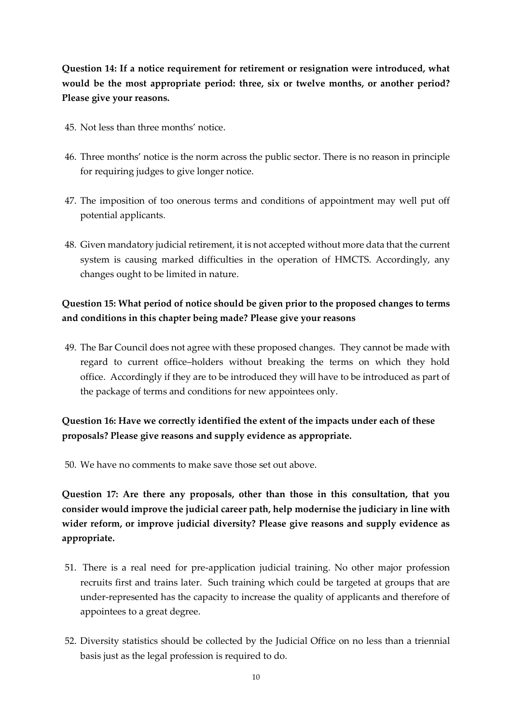**Question 14: If a notice requirement for retirement or resignation were introduced, what would be the most appropriate period: three, six or twelve months, or another period? Please give your reasons.**

- 45. Not less than three months' notice.
- 46. Three months' notice is the norm across the public sector. There is no reason in principle for requiring judges to give longer notice.
- 47. The imposition of too onerous terms and conditions of appointment may well put off potential applicants.
- 48. Given mandatory judicial retirement, it is not accepted without more data that the current system is causing marked difficulties in the operation of HMCTS. Accordingly, any changes ought to be limited in nature.

### **Question 15: What period of notice should be given prior to the proposed changes to terms and conditions in this chapter being made? Please give your reasons**

49. The Bar Council does not agree with these proposed changes. They cannot be made with regard to current office–holders without breaking the terms on which they hold office. Accordingly if they are to be introduced they will have to be introduced as part of the package of terms and conditions for new appointees only.

## **Question 16: Have we correctly identified the extent of the impacts under each of these proposals? Please give reasons and supply evidence as appropriate.**

50. We have no comments to make save those set out above.

**Question 17: Are there any proposals, other than those in this consultation, that you consider would improve the judicial career path, help modernise the judiciary in line with wider reform, or improve judicial diversity? Please give reasons and supply evidence as appropriate.**

- 51. There is a real need for pre-application judicial training. No other major profession recruits first and trains later. Such training which could be targeted at groups that are under-represented has the capacity to increase the quality of applicants and therefore of appointees to a great degree.
- 52. Diversity statistics should be collected by the Judicial Office on no less than a triennial basis just as the legal profession is required to do.